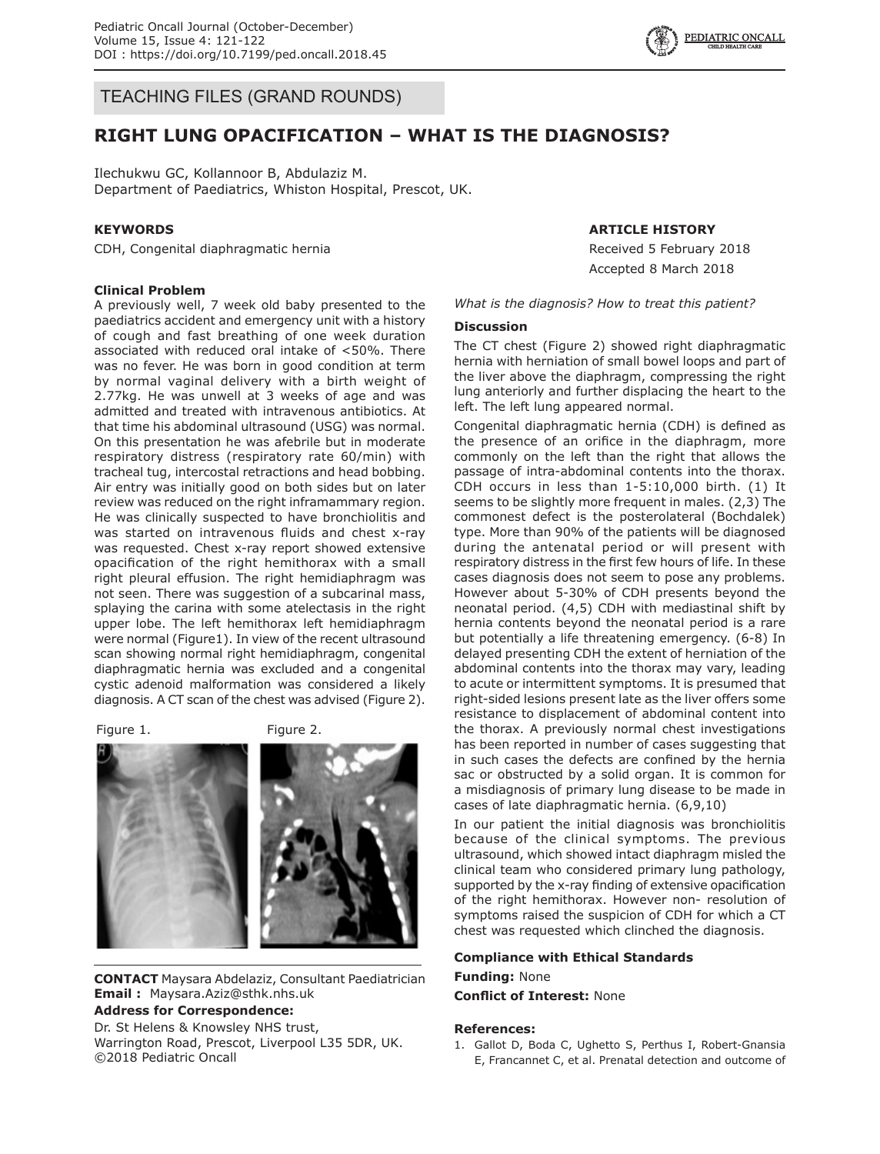$\left\{\begin{array}{c} \sqrt{2} \\ \sqrt{3} \end{array}\right\}$  EDIATRICALL CONCALL  $\left\{\begin{array}{c} \sqrt{2} \\ \sqrt{4} \end{array}\right\}$ 

TEACHING FILES (GRAND ROUNDS)

# **RIGHT LUNG OPACIFICATION – WHAT IS THE DIAGNOSIS?**

Ilechukwu GC, Kollannoor B, Abdulaziz M. Department of Paediatrics, Whiston Hospital, Prescot, UK.

## **KEYWORDS**

CDH, Congenital diaphragmatic hernia

#### **Clinical Problem**

A previously well, 7 week old baby presented to the paediatrics accident and emergency unit with a history of cough and fast breathing of one week duration associated with reduced oral intake of <50%. There was no fever. He was born in good condition at term by normal vaginal delivery with a birth weight of 2.77kg. He was unwell at 3 weeks of age and was admitted and treated with intravenous antibiotics. At that time his abdominal ultrasound (USG) was normal. On this presentation he was afebrile but in moderate respiratory distress (respiratory rate 60/min) with tracheal tug, intercostal retractions and head bobbing. Air entry was initially good on both sides but on later review was reduced on the right inframammary region. He was clinically suspected to have bronchiolitis and was started on intravenous fluids and chest x-ray was requested. Chest x-ray report showed extensive opacification of the right hemithorax with a small right pleural effusion. The right hemidiaphragm was not seen. There was suggestion of a subcarinal mass, splaying the carina with some atelectasis in the right upper lobe. The left hemithorax left hemidiaphragm were normal (Figure1). In view of the recent ultrasound scan showing normal right hemidiaphragm, congenital diaphragmatic hernia was excluded and a congenital cystic adenoid malformation was considered a likely diagnosis. A CT scan of the chest was advised (Figure 2).

Figure 1. Figure 2.



**CONTACT** Maysara Abdelaziz, Consultant Paediatrician **Email :** Maysara.Aziz@sthk.nhs.uk

#### **Address for Correspondence:**

Dr. St Helens & Knowsley NHS trust,

Warrington Road, Prescot, Liverpool L35 5DR, UK. ©2018 Pediatric Oncall

### **ARTICLE HISTORY**

Received 5 February 2018 Accepted 8 March 2018

*What is the diagnosis? How to treat this patient?*

# **Discussion**

The CT chest (Figure 2) showed right diaphragmatic hernia with herniation of small bowel loops and part of the liver above the diaphragm, compressing the right lung anteriorly and further displacing the heart to the left. The left lung appeared normal.

Congenital diaphragmatic hernia (CDH) is defined as the presence of an orifice in the diaphragm, more commonly on the left than the right that allows the passage of intra-abdominal contents into the thorax. CDH occurs in less than 1-5:10,000 birth. (1) It seems to be slightly more frequent in males. (2,3) The commonest defect is the posterolateral (Bochdalek) type. More than 90% of the patients will be diagnosed during the antenatal period or will present with respiratory distress in the first few hours of life. In these cases diagnosis does not seem to pose any problems. However about 5-30% of CDH presents beyond the neonatal period. (4,5) CDH with mediastinal shift by hernia contents beyond the neonatal period is a rare but potentially a life threatening emergency. (6-8) In delayed presenting CDH the extent of herniation of the abdominal contents into the thorax may vary, leading to acute or intermittent symptoms. It is presumed that right-sided lesions present late as the liver offers some resistance to displacement of abdominal content into the thorax. A previously normal chest investigations has been reported in number of cases suggesting that in such cases the defects are confined by the hernia sac or obstructed by a solid organ. It is common for a misdiagnosis of primary lung disease to be made in cases of late diaphragmatic hernia. (6,9,10)

In our patient the initial diagnosis was bronchiolitis because of the clinical symptoms. The previous ultrasound, which showed intact diaphragm misled the clinical team who considered primary lung pathology, supported by the x-ray finding of extensive opacification of the right hemithorax. However non- resolution of symptoms raised the suspicion of CDH for which a CT chest was requested which clinched the diagnosis.

#### **Compliance with Ethical Standards**

**Funding:** None **Conflict of Interest:** None

#### **References:**

1. Gallot D, Boda C, Ughetto S, Perthus I, Robert-Gnansia E, Francannet C, et al. Prenatal detection and outcome of